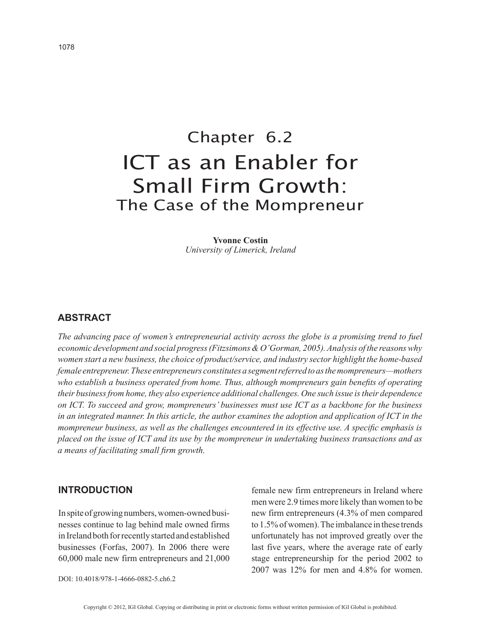# Chapter 6.2 ICT as an Enabler for Small Firm Growth: The Case of the Mompreneur

**Yvonne Costin** *University of Limerick, Ireland*

### **ABSTRACT**

*The advancing pace of women's entrepreneurial activity across the globe is a promising trend to fuel economic development and social progress (Fitzsimons & O'Gorman, 2005). Analysis of the reasons why women start a new business, the choice of product/service, and industry sector highlight the home-based female entrepreneur. These entrepreneurs constitutes a segment referred to as the mompreneurs—mothers who establish a business operated from home. Thus, although mompreneurs gain benefits of operating their business from home, they also experience additional challenges. One such issue is their dependence on ICT. To succeed and grow, mompreneurs' businesses must use ICT as a backbone for the business in an integrated manner. In this article, the author examines the adoption and application of ICT in the mompreneur business, as well as the challenges encountered in its effective use. A specific emphasis is placed on the issue of ICT and its use by the mompreneur in undertaking business transactions and as a means of facilitating small firm growth.*

#### **INTRODUCTION**

In spite of growing numbers, women-owned businesses continue to lag behind male owned firms in Ireland both for recently started and established businesses (Forfas, 2007). In 2006 there were 60,000 male new firm entrepreneurs and 21,000

female new firm entrepreneurs in Ireland where men were 2.9 times more likely than women to be new firm entrepreneurs (4.3% of men compared to 1.5% of women). The imbalance in these trends unfortunately has not improved greatly over the last five years, where the average rate of early stage entrepreneurship for the period 2002 to 2007 was 12% for men and 4.8% for women.

DOI: 10.4018/978-1-4666-0882-5.ch6.2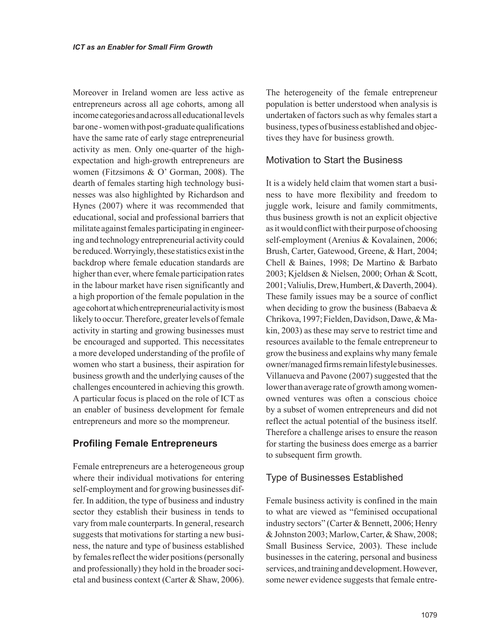Moreover in Ireland women are less active as entrepreneurs across all age cohorts, among all income categories and across all educational levels bar one - women with post-graduate qualifications have the same rate of early stage entrepreneurial activity as men. Only one-quarter of the highexpectation and high-growth entrepreneurs are women (Fitzsimons & O' Gorman, 2008). The dearth of females starting high technology businesses was also highlighted by Richardson and Hynes (2007) where it was recommended that educational, social and professional barriers that militate against females participating in engineering and technology entrepreneurial activity could be reduced. Worryingly, these statistics exist in the backdrop where female education standards are higher than ever, where female participation rates in the labour market have risen significantly and a high proportion of the female population in the age cohort at which entrepreneurial activity is most likely to occur. Therefore, greater levels of female activity in starting and growing businesses must be encouraged and supported. This necessitates a more developed understanding of the profile of women who start a business, their aspiration for business growth and the underlying causes of the challenges encountered in achieving this growth. A particular focus is placed on the role of ICT as an enabler of business development for female entrepreneurs and more so the mompreneur.

## **Profiling Female Entrepreneurs**

Female entrepreneurs are a heterogeneous group where their individual motivations for entering self-employment and for growing businesses differ. In addition, the type of business and industry sector they establish their business in tends to vary from male counterparts. In general, research suggests that motivations for starting a new business, the nature and type of business established by females reflect the wider positions (personally and professionally) they hold in the broader societal and business context (Carter & Shaw, 2006).

The heterogeneity of the female entrepreneur population is better understood when analysis is undertaken of factors such as why females start a business, types of business established and objectives they have for business growth.

## Motivation to Start the Business

It is a widely held claim that women start a business to have more flexibility and freedom to juggle work, leisure and family commitments, thus business growth is not an explicit objective as it would conflict with their purpose of choosing self-employment (Arenius & Kovalainen, 2006; Brush, Carter, Gatewood, Greene, & Hart, 2004; Chell & Baines, 1998; De Martino & Barbato 2003; Kjeldsen & Nielsen, 2000; Orhan & Scott, 2001; Valiulis, Drew, Humbert, & Daverth, 2004). These family issues may be a source of conflict when deciding to grow the business (Babaeva  $\&$ Chrikova, 1997; Fielden, Davidson, Dawe, & Makin, 2003) as these may serve to restrict time and resources available to the female entrepreneur to grow the business and explains why many female owner/managed firms remain lifestyle businesses. Villanueva and Pavone (2007) suggested that the lower than average rate of growth among womenowned ventures was often a conscious choice by a subset of women entrepreneurs and did not reflect the actual potential of the business itself. Therefore a challenge arises to ensure the reason for starting the business does emerge as a barrier to subsequent firm growth.

## Type of Businesses Established

Female business activity is confined in the main to what are viewed as "feminised occupational industry sectors" (Carter & Bennett, 2006; Henry & Johnston 2003; Marlow, Carter, & Shaw, 2008; Small Business Service, 2003). These include businesses in the catering, personal and business services, and training and development. However, some newer evidence suggests that female entre